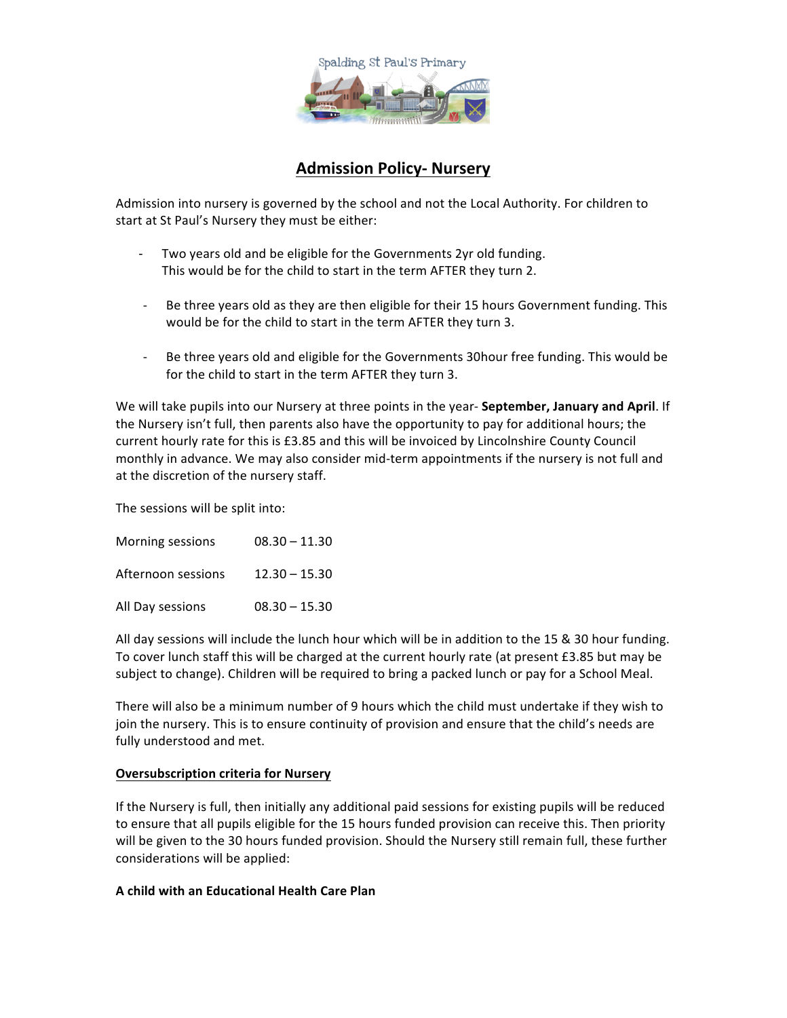

## **Admission Policy- Nursery**

Admission into nursery is governed by the school and not the Local Authority. For children to start at St Paul's Nursery they must be either:

- Two years old and be eligible for the Governments 2yr old funding. This would be for the child to start in the term AFTER they turn 2.
- Be three years old as they are then eligible for their 15 hours Government funding. This would be for the child to start in the term AFTER they turn 3.
- Be three years old and eligible for the Governments 30hour free funding. This would be for the child to start in the term AFTER they turn 3.

We will take pupils into our Nursery at three points in the year- **September, January and April**. If the Nursery isn't full, then parents also have the opportunity to pay for additional hours; the current hourly rate for this is £3.85 and this will be invoiced by Lincolnshire County Council monthly in advance. We may also consider mid-term appointments if the nursery is not full and at the discretion of the nursery staff.

The sessions will be split into:

Morning sessions  $08.30 - 11.30$ Afternoon sessions 12.30 - 15.30 All Day sessions  $08.30 - 15.30$ 

All day sessions will include the lunch hour which will be in addition to the 15  $\&$  30 hour funding. To cover lunch staff this will be charged at the current hourly rate (at present £3.85 but may be subject to change). Children will be required to bring a packed lunch or pay for a School Meal.

There will also be a minimum number of 9 hours which the child must undertake if they wish to join the nursery. This is to ensure continuity of provision and ensure that the child's needs are fully understood and met.

## **Oversubscription criteria for Nursery**

If the Nursery is full, then initially any additional paid sessions for existing pupils will be reduced to ensure that all pupils eligible for the 15 hours funded provision can receive this. Then priority will be given to the 30 hours funded provision. Should the Nursery still remain full, these further considerations will be applied:

## **A child with an Educational Health Care Plan**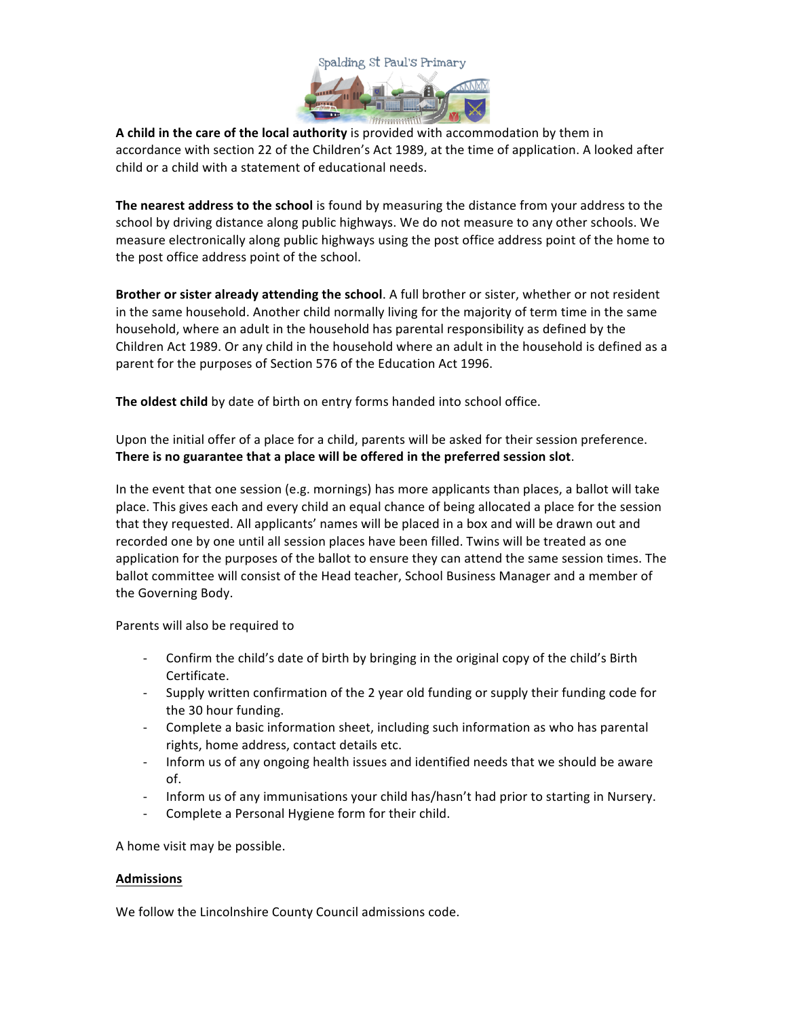

**A** child in the care of the local authority is provided with accommodation by them in accordance with section 22 of the Children's Act 1989, at the time of application. A looked after child or a child with a statement of educational needs.

**The nearest address to the school** is found by measuring the distance from your address to the school by driving distance along public highways. We do not measure to any other schools. We measure electronically along public highways using the post office address point of the home to the post office address point of the school.

**Brother or sister already attending the school.** A full brother or sister, whether or not resident in the same household. Another child normally living for the majority of term time in the same household, where an adult in the household has parental responsibility as defined by the Children Act 1989. Or any child in the household where an adult in the household is defined as a parent for the purposes of Section 576 of the Education Act 1996.

The oldest child by date of birth on entry forms handed into school office.

Upon the initial offer of a place for a child, parents will be asked for their session preference. There is no guarantee that a place will be offered in the preferred session slot.

In the event that one session (e.g. mornings) has more applicants than places, a ballot will take place. This gives each and every child an equal chance of being allocated a place for the session that they requested. All applicants' names will be placed in a box and will be drawn out and recorded one by one until all session places have been filled. Twins will be treated as one application for the purposes of the ballot to ensure they can attend the same session times. The ballot committee will consist of the Head teacher, School Business Manager and a member of the Governing Body.

Parents will also be required to

- Confirm the child's date of birth by bringing in the original copy of the child's Birth Certificate.
- Supply written confirmation of the 2 year old funding or supply their funding code for the 30 hour funding.
- Complete a basic information sheet, including such information as who has parental rights, home address, contact details etc.
- Inform us of any ongoing health issues and identified needs that we should be aware of.
- Inform us of any immunisations your child has/hasn't had prior to starting in Nursery.
- Complete a Personal Hygiene form for their child.

A home visit may be possible.

## **Admissions**

We follow the Lincolnshire County Council admissions code.